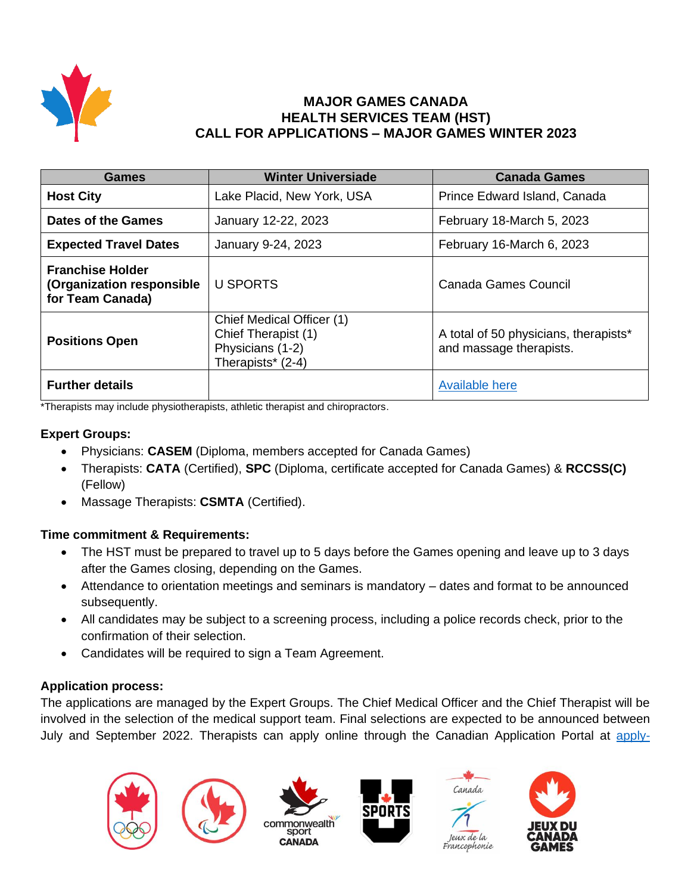

### **MAJOR GAMES CANADA HEALTH SERVICES TEAM (HST) CALL FOR APPLICATIONS – MAJOR GAMES WINTER 2023**

| Games                                                                    | <b>Winter Universiade</b>                                                                 | <b>Canada Games</b>                                              |
|--------------------------------------------------------------------------|-------------------------------------------------------------------------------------------|------------------------------------------------------------------|
| <b>Host City</b>                                                         | Lake Placid, New York, USA                                                                | Prince Edward Island, Canada                                     |
| <b>Dates of the Games</b>                                                | January 12-22, 2023                                                                       | February 18-March 5, 2023                                        |
| <b>Expected Travel Dates</b>                                             | January 9-24, 2023                                                                        | February 16-March 6, 2023                                        |
| <b>Franchise Holder</b><br>(Organization responsible<br>for Team Canada) | U SPORTS                                                                                  | Canada Games Council                                             |
| <b>Positions Open</b>                                                    | Chief Medical Officer (1)<br>Chief Therapist (1)<br>Physicians (1-2)<br>Therapists* (2-4) | A total of 50 physicians, therapists*<br>and massage therapists. |
| <b>Further details</b>                                                   |                                                                                           | <b>Available here</b>                                            |

\*Therapists may include physiotherapists, athletic therapist and chiropractors.

#### **Expert Groups:**

- Physicians: **CASEM** (Diploma, members accepted for Canada Games)
- Therapists: **CATA** (Certified), **SPC** (Diploma, certificate accepted for Canada Games) & **RCCSS(C)** (Fellow)
- Massage Therapists: **CSMTA** (Certified).

#### **Time commitment & Requirements:**

- The HST must be prepared to travel up to 5 days before the Games opening and leave up to 3 days after the Games closing, depending on the Games.
- Attendance to orientation meetings and seminars is mandatory dates and format to be announced subsequently.
- All candidates may be subject to a screening process, including a police records check, prior to the confirmation of their selection.
- Candidates will be required to sign a Team Agreement.

# **Application process:**

The applications are managed by the Expert Groups. The Chief Medical Officer and the Chief Therapist will be involved in the selection of the medical support team. Final selections are expected to be announced between July and September 2022. Therapists can apply online through the Canadian Application Portal at [apply-](https://apply-coc.smapply.io/)